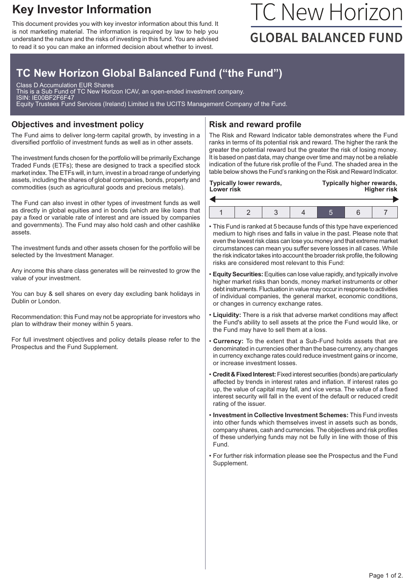## **Key Investor Information**

This document provides you with key investor information about this fund. It is not marketing material. The information is required by law to help you understand the nature and the risks of investing in this fund. You are advised to read it so you can make an informed decision about whether to invest.

# TC New Horizon **GLOBAL BALANCED FUND**

## **TC New Horizon Global Balanced Fund ("the Fund")**

Class D Accumulation EUR Shares This is a Sub Fund of TC New Horizon ICAV, an open-ended investment company. ISIN: IE00BF2F6F47 Equity Trustees Fund Services (Ireland) Limited is the UCITS Management Company of the Fund.

#### **Objectives and investment policy**

The Fund aims to deliver long-term capital growth, by investing in a diversified portfolio of investment funds as well as in other assets.

The investment funds chosen for the portfolio will be primarily Exchange Traded Funds (ETFs); these are designed to track a specified stock market index. The ETFs will, in turn, invest in a broad range of underlying assets, including the shares of global companies, bonds, property and commodities (such as agricultural goods and precious metals).

The Fund can also invest in other types of investment funds as well as directly in global equities and in bonds (which are like loans that pay a fixed or variable rate of interest and are issued by companies and governments). The Fund may also hold cash and other cashlike assets.

The investment funds and other assets chosen for the portfolio will be selected by the Investment Manager.

Any income this share class generates will be reinvested to grow the value of your investment.

You can buy & sell shares on every day excluding bank holidays in Dublin or London.

Recommendation: this Fund may not be appropriate for investors who plan to withdraw their money within 5 years.

For full investment objectives and policy details please refer to the Prospectus and the Fund Supplement.

#### **Risk and reward profile**

The Risk and Reward Indicator table demonstrates where the Fund ranks in terms of its potential risk and reward. The higher the rank the greater the potential reward but the greater the risk of losing money. It is based on past data, may change over time and may not be a reliable indication of the future risk profile of the Fund. The shaded area in the table below shows the Fund's ranking on the Risk and Reward Indicator.

| Typically lower rewards,<br><b>Lower risk</b> | Typically higher rewards,<br><b>Higher risk</b> |  |  |  |
|-----------------------------------------------|-------------------------------------------------|--|--|--|
|                                               |                                                 |  |  |  |
|                                               |                                                 |  |  |  |
|                                               |                                                 |  |  |  |

1 2 3 4 5 6 7

- This Fund is ranked at 5 because funds of this type have experienced medium to high rises and falls in value in the past. Please note that even the lowest risk class can lose you money and that extreme market circumstances can mean you suffer severe losses in all cases. While the risk indicator takes into account the broader risk profile, the following risks are considered most relevant to this Fund:
- **Equity Securities:**Equities can lose value rapidly, and typically involve higher market risks than bonds, money market instruments or other debt instruments. Fluctuation in value may occur in response to activities of individual companies, the general market, economic conditions, or changes in currency exchange rates.
- **Liquidity:** There is a risk that adverse market conditions may affect the Fund's ability to sell assets at the price the Fund would like, or the Fund may have to sell them at a loss.
- **Currency:** To the extent that a Sub-Fund holds assets that are denominated in currencies other than the base currency, any changes in currency exchange rates could reduce investment gains or income, or increase investment losses.
- **Credit & Fixed Interest:**Fixed interest securities (bonds) are particularly affected by trends in interest rates and inflation. If interest rates go up, the value of capital may fall, and vice versa. The value of a fixed interest security will fall in the event of the default or reduced credit rating of the issuer.
- **Investment in Collective Investment Schemes:** This Fund invests into other funds which themselves invest in assets such as bonds, company shares, cash and currencies. The objectives and risk profiles of these underlying funds may not be fully in line with those of this Fund.
- For further risk information please see the Prospectus and the Fund Supplement.